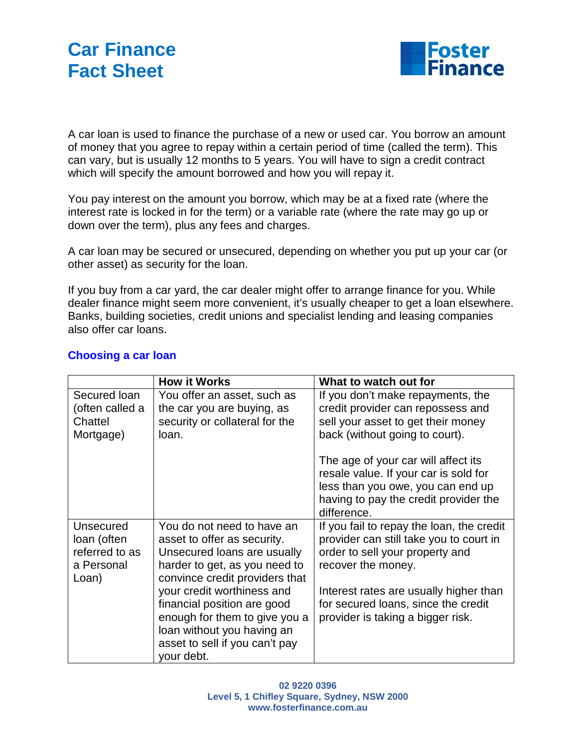



A car loan is used to finance the purchase of a new or used car. You borrow an amount of money that you agree to repay within a certain period of time (called the term). This can vary, but is usually 12 months to 5 years. You will have to sign a credit contract which will specify the amount borrowed and how you will repay it.

You pay interest on the amount you borrow, which may be at a fixed rate (where the interest rate is locked in for the term) or a variable rate (where the rate may go up or down over the term), plus any fees and charges.

A car loan may be secured or unsecured, depending on whether you put up your car (or other asset) as security for the loan.

If you buy from a car yard, the car dealer might offer to arrange finance for you. While dealer finance might seem more convenient, it's usually cheaper to get a loan elsewhere. Banks, building societies, credit unions and specialist lending and leasing companies also offer car loans.

|                                                                   | <b>How it Works</b>                                                                                                                                                      | What to watch out for                                                                                                                                                     |
|-------------------------------------------------------------------|--------------------------------------------------------------------------------------------------------------------------------------------------------------------------|---------------------------------------------------------------------------------------------------------------------------------------------------------------------------|
| Secured Ioan<br>(often called a<br>Chattel<br>Mortgage)           | You offer an asset, such as<br>the car you are buying, as<br>security or collateral for the<br>loan.                                                                     | If you don't make repayments, the<br>credit provider can repossess and<br>sell your asset to get their money<br>back (without going to court).                            |
|                                                                   |                                                                                                                                                                          | The age of your car will affect its<br>resale value. If your car is sold for<br>less than you owe, you can end up<br>having to pay the credit provider the<br>difference. |
| Unsecured<br>loan (often<br>referred to as<br>a Personal<br>Loan) | You do not need to have an<br>asset to offer as security.<br>Unsecured loans are usually<br>harder to get, as you need to<br>convince credit providers that              | If you fail to repay the loan, the credit<br>provider can still take you to court in<br>order to sell your property and<br>recover the money.                             |
|                                                                   | your credit worthiness and<br>financial position are good<br>enough for them to give you a<br>loan without you having an<br>asset to sell if you can't pay<br>your debt. | Interest rates are usually higher than<br>for secured loans, since the credit<br>provider is taking a bigger risk.                                                        |

## **Choosing a car loan**